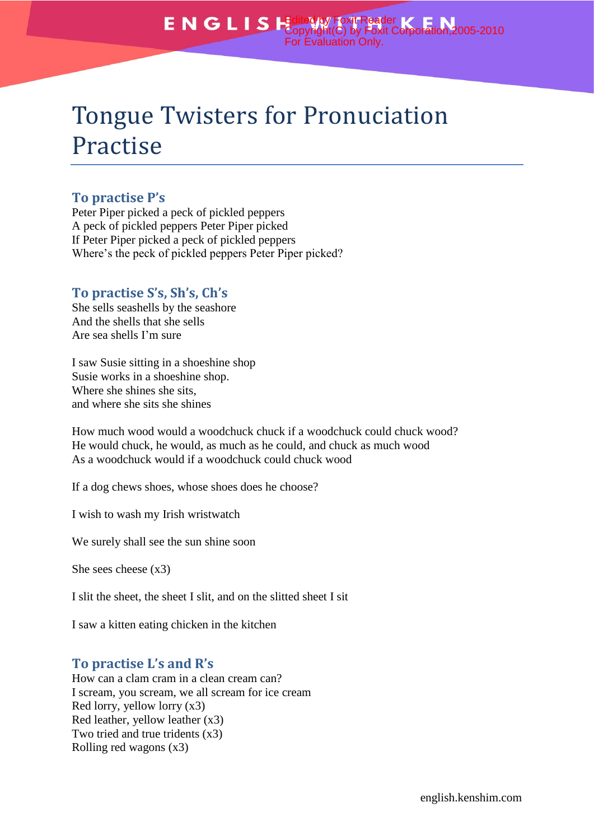# Tongue Twisters for Pronuciation Practise

# **To practise P's**

Peter Piper picked a peck of pickled peppers A peck of pickled peppers Peter Piper picked If Peter Piper picked a peck of pickled peppers Where's the peck of pickled peppers Peter Piper picked?

## **To practise S's, Sh's, Ch's**

She sells seashells by the seashore And the shells that she sells Are sea shells I'm sure

I saw Susie sitting in a shoeshine shop Susie works in a shoeshine shop. Where she shines she sits, and where she sits she shines

How much wood would a woodchuck chuck if a woodchuck could chuck wood? He would chuck, he would, as much as he could, and chuck as much wood As a woodchuck would if a woodchuck could chuck wood

If a dog chews shoes, whose shoes does he choose?

I wish to wash my Irish wristwatch

We surely shall see the sun shine soon

She sees cheese (x3)

I slit the sheet, the sheet I slit, and on the slitted sheet I sit

I saw a kitten eating chicken in the kitchen

### **To practise L's and R's**

How can a clam cram in a clean cream can? I scream, you scream, we all scream for ice cream Red lorry, yellow lorry (x3) Red leather, yellow leather (x3) Two tried and true tridents (x3) Rolling red wagons (x3)